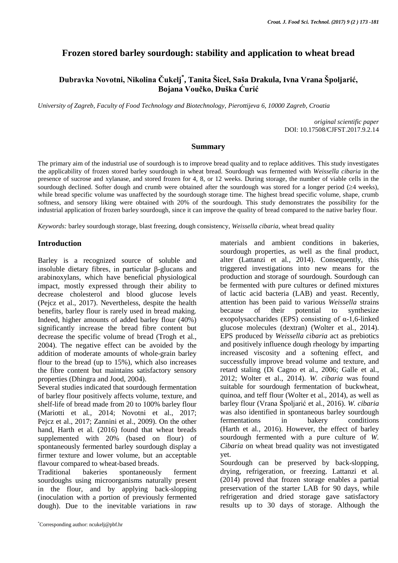# **Frozen stored barley sourdough: stability and application to wheat bread**

# **Dubravka Novotni, Nikolina Čukelj\* , Tanita Šicel, Saša Drakula, Ivna Vrana Špoljarić, Bojana Voučko, Duška Ćurić**

*University of Zagreb, Faculty of Food Technology and Biotechnology, Pierottijeva 6, 10000 Zagreb, Croatia*

*original scientific paper* DOI: 10.17508/CJFST.2017.9.2.14

#### **Summary**

The primary aim of the industrial use of sourdough is to improve bread quality and to replace additives. This study investigates the applicability of frozen stored barley sourdough in wheat bread. Sourdough was fermented with *Weissella cibaria* in the presence of sucrose and xylanase, and stored frozen for 4, 8, or 12 weeks. During storage, the number of viable cells in the sourdough declined. Softer dough and crumb were obtained after the sourdough was stored for a longer period  $(\geq 4$  weeks), while bread specific volume was unaffected by the sourdough storage time. The highest bread specific volume, shape, crumb softness, and sensory liking were obtained with 20% of the sourdough. This study demonstrates the possibility for the industrial application of frozen barley sourdough, since it can improve the quality of bread compared to the native barley flour.

*Keywords:* barley sourdough storage, blast freezing, dough consistency, *Weissella cibaria*, wheat bread quality

### **Introduction**

Barley is a recognized source of soluble and insoluble dietary fibres, in particular β-glucans and arabinoxylans, which have beneficial physiological impact, mostly expressed through their ability to decrease cholesterol and blood glucose levels (Pejcz et al., 2017). Nevertheless, despite the health benefits, barley flour is rarely used in bread making. Indeed, higher amounts of added barley flour (40%) significantly increase the bread fibre content but decrease the specific volume of bread (Trogh et al*.*, 2004). The negative effect can be avoided by the addition of moderate amounts of whole-grain barley flour to the bread (up to 15%), which also increases the fibre content but maintains satisfactory sensory properties (Dhingra and Jood, 2004).

Several studies indicated that sourdough fermentation of barley flour positively affects volume, texture, and shelf-life of bread made from 20 to 100% barley flour (Mariotti et al*.*, 2014; Novotni et al., 2017; Pejcz et al., 2017; Zannini et al., 2009). On the other hand, Harth et al*.* (2016) found that wheat breads supplemented with 20% (based on flour) of spontaneously fermented barley sourdough display a firmer texture and lower volume, but an acceptable flavour compared to wheat-based breads.

Traditional bakeries spontaneously ferment sourdoughs using microorganisms naturally present in the flour, and by applying back-slopping (inoculation with a portion of previously fermented dough). Due to the inevitable variations in raw materials and ambient conditions in bakeries, sourdough properties, as well as the final product, alter (Lattanzi et al*.*, 2014). Consequently, this triggered investigations into new means for the production and storage of sourdough. Sourdough can be fermented with pure cultures or defined mixtures of lactic acid bacteria (LAB) and yeast. Recently, attention has been paid to various *Weissella* strains because of their potential to synthesize exopolysaccharides (EPS) consisting of  $\alpha$ -1,6-linked glucose molecules (dextran) (Wolter et al*.*, 2014). EPS produced by *Weissella cibaria* act as prebiotics and positively influence dough rheology by imparting increased viscosity and a softening effect, and successfully improve bread volume and texture, and retard staling (Di Cagno et al., 2006; Galle et al*.*, 2012; Wolter et al., 2014). *W. cibaria* was found suitable for sourdough fermentation of buckwheat, quinoa, and teff flour (Wolter et al., 2014), as well as barley flour (Vrana Špoljarić et al*.*, 2016). *W. cibaria* was also identified in spontaneous barley sourdough fermentations in bakery conditions (Harth et al*.*, 2016). However, the effect of barley sourdough fermented with a pure culture of *W. Cibaria* on wheat bread quality was not investigated yet.

Sourdough can be preserved by back-slopping, drying, refrigeration, or freezing. Lattanzi et al*.* (2014) proved that frozen storage enables a partial preservation of the starter LAB for 90 days, while refrigeration and dried storage gave satisfactory results up to 30 days of storage. Although the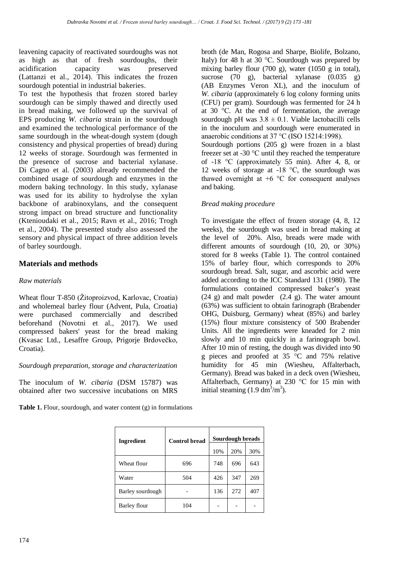leavening capacity of reactivated sourdoughs was not as high as that of fresh sourdoughs, their acidification capacity was preserved (Lattanzi et al*.*, 2014). This indicates the frozen sourdough potential in industrial bakeries.

To test the hypothesis that frozen stored barley sourdough can be simply thawed and directly used in bread making, we followed up the survival of EPS producing *W. cibaria* strain in the sourdough and examined the technological performance of the same sourdough in the wheat-dough system (dough consistency and physical properties of bread) during 12 weeks of storage. Sourdough was fermented in the presence of sucrose and bacterial xylanase. Di Cagno et al*.* (2003) already recommended the combined usage of sourdough and enzymes in the modern baking technology. In this study, xylanase was used for its ability to hydrolyse the xylan backbone of arabinoxylans, and the consequent strong impact on bread structure and functionality (Ktenioudaki et al*.*, 2015; Ravn et al., 2016; Trogh et al*.*, 2004). The presented study also assessed the sensory and physical impact of three addition levels of barley sourdough.

# **Materials and methods**

## *Raw materials*

Wheat flour T-850 (Žitoproizvod, Karlovac, Croatia) and wholemeal barley flour (Advent, Pula, Croatia) were purchased commercially and described beforehand (Novotni et al*.*, 2017). We used compressed bakers' yeast for the bread making (Kvasac Ltd., Lesaffre Group, Prigorje Brdovečko, Croatia).

## *Sourdough preparation, storage and characterization*

The inoculum of *W. cibaria* (DSM 15787) was obtained after two successive incubations on MRS

**Table 1.** Flour, sourdough, and water content (g) in formulations

broth (de Man, Rogosa and Sharpe, Biolife, Bolzano, Italy) for 48 h at  $30^{\circ}$ C. Sourdough was prepared by mixing barley flour (700 g), water (1050 g in total), sucrose  $(70 \text{ g})$ , bacterial xylanase  $(0.035 \text{ g})$ (AB Enzymes Veron XL), and the inoculum of *W. cibaria* (approximately 6 log colony forming units (CFU) per gram). Sourdough was fermented for 24 h at 30 °C. At the end of fermentation, the average sourdough pH was  $3.8 \pm 0.1$ . Viable lactobacilli cells in the inoculum and sourdough were enumerated in anaerobic conditions at 37 °C (ISO 15214:1998). Sourdough portions (205 g) were frozen in a blast

freezer set at -30 °C until they reached the temperature of -18 °C (approximately 55 min). After 4, 8, or 12 weeks of storage at -18 °C, the sourdough was thawed overnight at  $+6$  °C for consequent analyses and baking.

## *Bread making procedure*

To investigate the effect of frozen storage (4, 8, 12 weeks), the sourdough was used in bread making at the level of 20%. Also, breads were made with different amounts of sourdough (10, 20, or 30%) stored for 8 weeks (Table 1). The control contained 15% of barley flour, which corresponds to 20% sourdough bread. Salt, sugar, and ascorbic acid were added according to the ICC Standard 131 (1980). The formulations contained compressed baker's yeast  $(24 \text{ g})$  and malt powder  $(2.4 \text{ g})$ . The water amount (63%) was sufficient to obtain farinograph (Brabender OHG, Duisburg, Germany) wheat (85%) and barley (15%) flour mixture consistency of 500 Brabender Units. All the ingredients were kneaded for 2 min slowly and 10 min quickly in a farinograph bowl. After 10 min of resting, the dough was divided into 90 g pieces and proofed at  $35\degree$ C and  $75\%$  relative humidity for 45 min (Wiesheu, Affalterbach, Germany). Bread was baked in a deck oven (Wiesheu, Affalterbach, Germany) at 230 °C for 15 min with initial steaming  $(1.9 \text{ dm}^3/\text{m}^3)$ .

| Ingredient       | <b>Control bread</b> | Sourdough breads |     |     |  |
|------------------|----------------------|------------------|-----|-----|--|
|                  |                      | 10%              | 20% | 30% |  |
| Wheat flour      | 696                  | 748              | 696 | 643 |  |
| Water            | 504                  | 426              | 347 | 269 |  |
| Barley sourdough |                      | 136              | 272 | 407 |  |
| Barley flour     | 104                  |                  |     |     |  |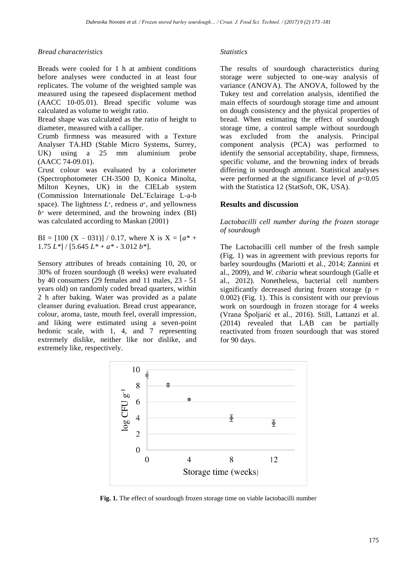## *Bread characteristics*

Breads were cooled for 1 h at ambient conditions before analyses were conducted in at least four replicates. The volume of the weighted sample was measured using the rapeseed displacement method (AACC 10-05.01). Bread specific volume was calculated as volume to weight ratio.

Bread shape was calculated as the ratio of height to diameter, measured with a calliper.

Crumb firmness was measured with a Texture Analyser TA.HD (Stable Micro Systems, Surrey, UK) using a 25 mm aluminium probe (AACC 74-09.01).

Crust colour was evaluated by a colorimeter (Spectrophotometer CH-3500 D, Konica Minolta, Milton Keynes, UK) in the CIELab system (Commission Internationale DeL'Eclairage L-a-b space). The lightness *L*∗, redness *a*∗, and yellowness *b*<sup>∗</sup> were determined, and the browning index (BI) was calculated according to Maskan (2001)

BI =  $[100 (X – 031)] / 0.17$ , where X is X =  $[a^* +$ 1.75 *L\**] / [5.645 *L\** + *a\** - 3.012 *b\**].

Sensory attributes of breads containing 10, 20, or 30% of frozen sourdough (8 weeks) were evaluated by 40 consumers (29 females and 11 males, 23 - 51 years old) on randomly coded bread quarters, within 2 h after baking. Water was provided as a palate cleanser during evaluation. Bread crust appearance, colour, aroma, taste, mouth feel, overall impression, and liking were estimated using a seven-point hedonic scale, with 1, 4, and 7 representing extremely dislike, neither like nor dislike, and extremely like, respectively.

#### *Statistics*

The results of sourdough characteristics during storage were subjected to one-way analysis of variance (ANOVA). The ANOVA, followed by the Tukey test and correlation analysis, identified the main effects of sourdough storage time and amount on dough consistency and the physical properties of bread. When estimating the effect of sourdough storage time, a control sample without sourdough was excluded from the analysis. Principal component analysis (PCA) was performed to identify the sensorial acceptability, shape, firmness, specific volume, and the browning index of breads differing in sourdough amount. Statistical analyses were performed at the significance level of  $p<0.05$ with the Statistica 12 (StatSoft, OK, USA).

## **Results and discussion**

*Lactobacilli cell number during the frozen storage of sourdough*

The Lactobacilli cell number of the fresh sample (Fig. 1) was in agreement with previous reports for barley sourdoughs (Mariotti et al*.*, 2014; Zannini et al., 2009), and *W. cibaria* wheat sourdough (Galle et al*.*, 2012). Nonetheless, bacterial cell numbers significantly decreased during frozen storage ( $p =$ 0.002) (Fig. 1). This is consistent with our previous work on sourdough in frozen storage for 4 weeks (Vrana Špoljarić et al*.*, 2016). Still, Lattanzi et al. (2014) revealed that LAB can be partially reactivated from frozen sourdough that was stored for 90 days.



**Fig. 1.** The effect of sourdough frozen storage time on viable lactobacilli number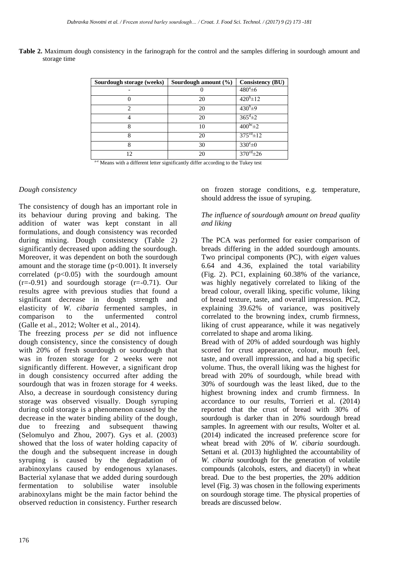|              |  |  |  |  | Table 2. Maximum dough consistency in the farinograph for the control and the samples differing in sourdough amount and |  |
|--------------|--|--|--|--|-------------------------------------------------------------------------------------------------------------------------|--|
| storage time |  |  |  |  |                                                                                                                         |  |

| Sourdough storage (weeks) | Sourdough amount $(\% )$ | <b>Consistency (BU)</b>  |
|---------------------------|--------------------------|--------------------------|
|                           |                          | $480^a \pm 6$            |
|                           | 20                       | $420^{b} \pm 12$         |
| っ                         | 20                       | $430^{b} \pm 9$          |
|                           | 20                       | $365^{\rm d}$ ±2         |
| 8                         | 10                       | $400^{bc}$ $\pm 2$       |
| 8                         | 20                       | $375^{\text{cd}} \pm 12$ |
| 8                         | 30                       | $330^\circ \pm 0$        |
| 12                        | 20                       | $370^{\text{cd}} \pm 26$ |

a<sup>-e</sup> Means with a different letter significantly differ according to the Tukey test

## *Dough consistency*

The consistency of dough has an important role in its behaviour during proving and baking. The addition of water was kept constant in all formulations, and dough consistency was recorded during mixing. Dough consistency (Table 2) significantly decreased upon adding the sourdough. Moreover, it was dependent on both the sourdough amount and the storage time  $(p<0.001)$ . It inversely correlated  $(p<0.05)$  with the sourdough amount  $(r=-0.91)$  and sourdough storage  $(r=-0.71)$ . Our results agree with previous studies that found a significant decrease in dough strength and elasticity of *W. cibaria* fermented samples, in comparison to the unfermented control comparison to the unfermented (Galle et al., 2012; Wolter et al., 2014).

The freezing process *per se* did not influence dough consistency, since the consistency of dough with 20% of fresh sourdough or sourdough that was in frozen storage for 2 weeks were not significantly different. However, a significant drop in dough consistency occurred after adding the sourdough that was in frozen storage for 4 weeks. Also, a decrease in sourdough consistency during storage was observed visually. Dough syruping during cold storage is a phenomenon caused by the decrease in the water binding ability of the dough, due to freezing and subsequent thawing (Selomulyo and Zhou, 2007). Gys et al. (2003) showed that the loss of water holding capacity of the dough and the subsequent increase in dough syruping is caused by the degradation of arabinoxylans caused by endogenous xylanases. Bacterial xylanase that we added during sourdough fermentation to solubilise water insoluble arabinoxylans might be the main factor behind the observed reduction in consistency. Further research

on frozen storage conditions, e.g. temperature, should address the issue of syruping.

#### *The influence of sourdough amount on bread quality and liking*

The PCA was performed for easier comparison of breads differing in the added sourdough amounts. Two principal components (PC), with *eigen* values 6.64 and 4.36, explained the total variability (Fig. 2). PC1, explaining 60.38% of the variance, was highly negatively correlated to liking of the bread colour, overall liking, specific volume, liking of bread texture, taste, and overall impression. PC2, explaining 39.62% of variance, was positively correlated to the browning index, crumb firmness, liking of crust appearance, while it was negatively correlated to shape and aroma liking.

Bread with of 20% of added sourdough was highly scored for crust appearance, colour, mouth feel, taste, and overall impression, and had a big specific volume. Thus, the overall liking was the highest for bread with 20% of sourdough, while bread with 30% of sourdough was the least liked, due to the highest browning index and crumb firmness. In accordance to our results, Torrieri et al*.* (2014) reported that the crust of bread with 30% of sourdough is darker than in 20% sourdough bread samples. In agreement with our results, Wolter et al*.* (2014) indicated the increased preference score for wheat bread with 20% of *W. cibaria* sourdough. Settani et al*.* (2013) highlighted the accountability of *W. cibaria* sourdough for the generation of volatile compounds (alcohols, esters, and diacetyl) in wheat bread. Due to the best properties, the 20% addition level (Fig. 3) was chosen in the following experiments on sourdough storage time. The physical properties of breads are discussed below.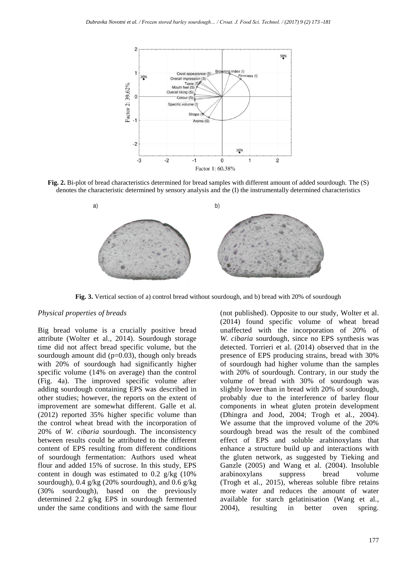

**Fig. 2.** Bi-plot of bread characteristics determined for bread samples with different amount of added sourdough. The (S) denotes the characteristic determined by sensory analysis and the (I) the instrumentally determined characteristics



**Fig. 3.** Vertical section of a) control bread without sourdough, and b) bread with 20% of sourdough

# *Physical properties of breads*

Big bread volume is a crucially positive bread attribute (Wolter et al*.*, 2014). Sourdough storage time did not affect bread specific volume, but the sourdough amount did  $(p=0.03)$ , though only breads with 20% of sourdough had significantly higher specific volume (14% on average) than the control (Fig. 4a). The improved specific volume after adding sourdough containing EPS was described in other studies; however, the reports on the extent of improvement are somewhat different. Galle et al*.* (2012) reported 35% higher specific volume than the control wheat bread with the incorporation of 20% of *W. cibaria* sourdough. The inconsistency between results could be attributed to the different content of EPS resulting from different conditions of sourdough fermentation: Authors used wheat flour and added 15% of sucrose. In this study, EPS content in dough was estimated to  $0.2$  g/kg  $(10\%$ sourdough), 0.4 g/kg (20% sourdough), and 0.6 g/kg (30% sourdough), based on the previously determined 2.2 g/kg EPS in sourdough fermented under the same conditions and with the same flour

(not published). Opposite to our study, Wolter et al. (2014) found specific volume of wheat bread unaffected with the incorporation of 20% of *W. cibaria* sourdough, since no EPS synthesis was detected. Torrieri et al. (2014) observed that in the presence of EPS producing strains, bread with 30% of sourdough had higher volume than the samples with 20% of sourdough. Contrary, in our study the volume of bread with 30% of sourdough was slightly lower than in bread with 20% of sourdough, probably due to the interference of barley flour components in wheat gluten protein development (Dhingra and Jood, 2004; Trogh et al*.*, 2004). We assume that the improved volume of the 20% sourdough bread was the result of the combined effect of EPS and soluble arabinoxylans that enhance a structure build up and interactions with the gluten network, as suggested by Tieking and Ganzle (2005) and Wang et al*.* (2004). Insoluble arabinoxylans suppress bread volume (Trogh et al*.*, 2015), whereas soluble fibre retains more water and reduces the amount of water available for starch gelatinisation (Wang et al*.*, 2004), resulting in better oven spring.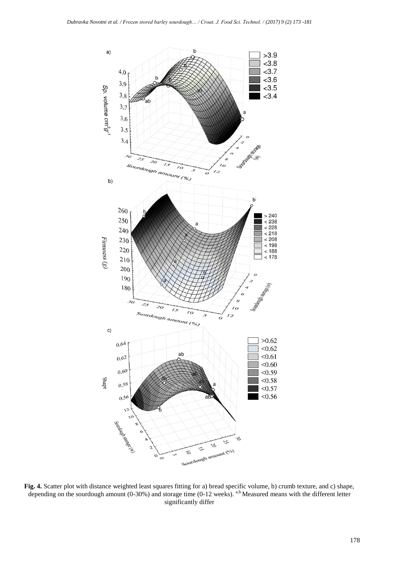

**Fig. 4.** Scatter plot with distance weighted least squares fitting for a) bread specific volume, b) crumb texture, and c) shape, depending on the sourdough amount (0-30%) and storage time (0-12 weeks). a,b Measured means with the different letter significantly differ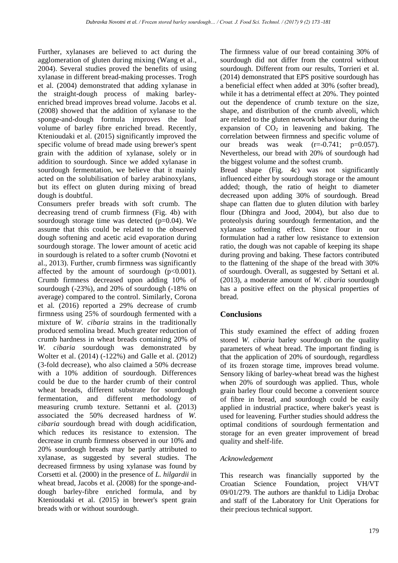Further, xylanases are believed to act during the agglomeration of gluten during mixing (Wang et al., 2004). Several studies proved the benefits of using xylanase in different bread-making processes. Trogh et al*.* (2004) demonstrated that adding xylanase in the straight-dough process of making barleyenriched bread improves bread volume. Jacobs et al. (2008) showed that the addition of xylanase to the sponge-and-dough formula improves the loaf volume of barley fibre enriched bread. Recently, Ktenioudaki et al*.* (2015) significantly improved the specific volume of bread made using brewer's spent grain with the addition of xylanase, solely or in addition to sourdough. Since we added xylanase in sourdough fermentation, we believe that it mainly acted on the solubilisation of barley arabinoxylans, but its effect on gluten during mixing of bread dough is doubtful.

Consumers prefer breads with soft crumb. The decreasing trend of crumb firmness (Fig. 4b) with sourdough storage time was detected  $(p=0.04)$ . We assume that this could be related to the observed dough softening and acetic acid evaporation during sourdough storage. The lower amount of acetic acid in sourdough is related to a softer crumb (Novotni et al., 2013). Further, crumb firmness was significantly affected by the amount of sourdough  $(p<0.001)$ . Crumb firmness decreased upon adding 10% of sourdough (-23%), and 20% of sourdough (-18% on average) compared to the control. Similarly, Corona et al*.* (2016) reported a 29% decrease of crumb firmness using 25% of sourdough fermented with a mixture of *W. cibaria* strains in the traditionally produced semolina bread. Much greater reduction of crumb hardness in wheat breads containing 20% of *W. cibaria* sourdough was demonstrated by Wolter et al. (2014) (-122%) and Galle et al. (2012) (3-fold decrease), who also claimed a 50% decrease with a 10% addition of sourdough. Differences could be due to the harder crumb of their control wheat breads, different substrate for sourdough fermentation, and different methodology of measuring crumb texture. Settanni et al*.* (2013) associated the 50% decreased hardness of *W. cibaria* sourdough bread with dough acidification, which reduces its resistance to extension. The decrease in crumb firmness observed in our 10% and 20% sourdough breads may be partly attributed to xylanase, as suggested by several studies. The decreased firmness by using xylanase was found by Corsetti et al*.* (2000) in the presence of *L. hilgardii* in wheat bread, Jacobs et al. (2008) for the sponge-anddough barley-fibre enriched formula, and by Ktenioudaki et al. (2015) in brewer's spent grain breads with or without sourdough.

The firmness value of our bread containing 30% of sourdough did not differ from the control without sourdough. Different from our results, Torrieri et al. (2014) demonstrated that EPS positive sourdough has a beneficial effect when added at 30% (softer bread), while it has a detrimental effect at 20%. They pointed out the dependence of crumb texture on the size, shape, and distribution of the crumb alveoli, which are related to the gluten network behaviour during the expansion of  $CO<sub>2</sub>$  in leavening and baking. The correlation between firmness and specific volume of our breads was weak  $(r=-0.741; p=0.057)$ . Nevertheless, our bread with 20% of sourdough had the biggest volume and the softest crumb.

Bread shape (Fig. 4c) was not significantly influenced either by sourdough storage or the amount added; though, the ratio of height to diameter decreased upon adding 30% of sourdough. Bread shape can flatten due to gluten dilution with barley flour (Dhingra and Jood, 2004), but also due to proteolysis during sourdough fermentation, and the xylanase softening effect. Since flour in our formulation had a rather low resistance to extension ratio, the dough was not capable of keeping its shape during proving and baking. These factors contributed to the flattening of the shape of the bread with 30% of sourdough. Overall, as suggested by Settani et al. (2013), a moderate amount of *W. cibaria* sourdough has a positive effect on the physical properties of bread.

# **Conclusions**

This study examined the effect of adding frozen stored *W. cibaria* barley sourdough on the quality parameters of wheat bread. The important finding is that the application of 20% of sourdough, regardless of its frozen storage time, improves bread volume. Sensory liking of barley-wheat bread was the highest when 20% of sourdough was applied. Thus, whole grain barley flour could become a convenient source of fibre in bread, and sourdough could be easily applied in industrial practice, where baker's yeast is used for leavening. Further studies should address the optimal conditions of sourdough fermentation and storage for an even greater improvement of bread quality and shelf-life.

# *Acknowledgement*

This research was financially supported by the Croatian Science Foundation, project VH/VT 09/01/279. The authors are thankful to Lidija Drobac and staff of the Laboratory for Unit Operations for their precious technical support.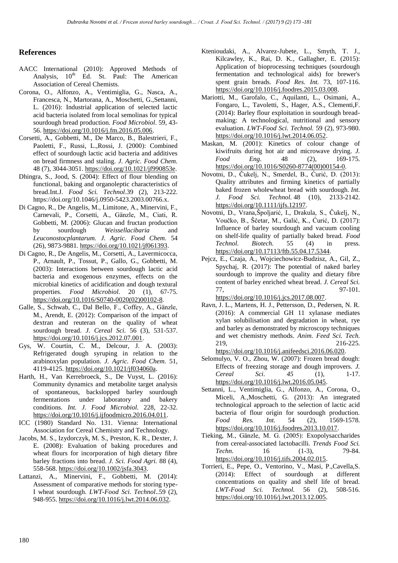### **References**

- AACC International (2010): Approved Methods of Analysis,  $10^{th}$  Ed. St. Paul: The American Association of Cereal Chemists.
- Corona, O., Alfonzo, A., Ventimiglia, G., Nasca, A., Francesca, N., Martorana, A., Moschetti, G.,Settanni, L. (2016): Industrial application of selected lactic acid bacteria isolated from local semolinas for typical sourdough bread production. *Food Microbiol*. 59, 43- 56. [https://doi.org/10.1016/j.fm.2016.05.006.](https://doi.org/)
- Corsetti, A., Gobbetti, M., De Marco, B., Balestrieri, F., Paoletti, F., Russi, L.,Rossi, J. (2000): Combined effect of sourdough lactic acid bacteria and additives on bread firmness and staling. *J. Agric. Food Chem.* 48 (7), 3044-3051. [https://doi.org/10.1021/jf990853e.](https://doi.org/10.1021/jf990853e)
- Dhingra, S., Jood, S. (2004): Effect of flour blending on functional, baking and organoleptic characteristics of bread.Int.J. *Food Sci. Technol*.39 (2), 213-222. https://doi.org/10.1046/j.0950-5423.2003.00766.x.
- Di Cagno, R., De Angelis, M., Limitone, A., Minervini, F., Carnevali, P., Corsetti, A., Gänzle, M., Ciati, R. Gobbetti, M. (2006): Glucan and fructan production by sourdough *Weissellacibaria* and *Leuconostocplantarum. J. Agric. Food Chem.* 54 (26), 9873-9881. [https://doi.org/10.1021/jf061393.](https://doi.org/10.1021/jf061393)
- Di Cagno, R., De Angelis, M., Corsetti, A., Lavermicocca, P., Arnault, P., Tossut, P., Gallo, G., Gobbetti, M. (2003): Interactions between sourdough lactic acid bacteria and exogenous enzymes, effects on the microbial kinetics of acidification and dough textural properties. *Food Microbiol.* 20 (1), 67-75. [https://doi.org/10.1016/S0740-0020\(02\)00102-8.](https://doi.org/10.1016/S0740-0020%2802%2900102-8)
- Galle, S., Schwab, C., Dal Bello, F., Coffey, A., Gänzle, M., Arendt, E. (2012): Comparison of the impact of dextran and reuteran on the quality of wheat sourdough bread. *J. Cereal Sci.* 56 (3), 531-537. [https://doi.org/10.1016/j.jcs.2012.07.001.](https://doi.org/10.1016/j.jcs.2012.07.001)
- Gys, W. Courtin, C. M., Delcour, J. A. (2003): Refrigerated dough syruping in relation to the arabinoxylan population. *J. Agric. Food Chem.* 51, 4119-4125. [https://doi.org/10.1021/jf034060a.](https://doi.org/10.1021/jf034060a)
- Harth, H., Van Kerrebroeck, S., De Vuyst, L. (2016): Community dynamics and metabolite target analysis of spontaneous, backslopped barley sourdough fermentations under laboratory and bakery conditions. *Int. J. Food Microbiol.* 228, 22-32. [https://doi.org/10.1016/j.ijfoodmicro.2016.04.011.](https://doi.org/10.1016/j.ijfoodmicro.2016.04.011)
- ICC (1980) Standard No. 131. Vienna: International Association for Cereal Chemistry and Technology.
- Jacobs, M. S., Izydorczyk, M. S., Preston, K. R., Dexter, J. E. (2008): Evaluation of baking procedures and wheat flours for incorporation of high dietary fibre barley fractions into bread. *J. Sci. Food Agri.* 88 (4), 558-568. [https://doi.org/10.1002/jsfa.3043.](https://doi.org/10.1002/jsfa.3043)
- Lattanzi, A., Minervini, F., Gobbetti, M. (2014): Assessment of comparative methods for storing type-I wheat sourdough. *LWT-Food Sci. Technol*..59 (2), 948-955. [https://doi.org/10.1016/j.lwt.2014.06.032.](https://doi.org/10.1016/j.lwt.2014.06.032)
- Ktenioudaki, A., Alvarez-Jubete, L., Smyth, T. J., Kilcawley, K., Rai, D. K., Gallagher, E. (2015): Application of bioprocessing techniques (sourdough fermentation and technological aids) for brewer's spent grain breads. *Food Res. Int.* 73, 107-116. [https://doi.org/10.1016/j.foodres.2015.03.008.](https://doi.org/10.1016/j.foodres.2015.03.008)
- Mariotti, M., Garofalo, C., Aquilanti, L., Osimani, A., Fongaro, L., Tavoletti, S., Hager, A.S., Clementi,F. (2014): Barley flour exploitation in sourdough breadmaking: A technological, nutritional and sensory evaluation. *LWT-Food Sci. Technol.* 59 (2), 973-980. [https://doi.org/10.1016/j.lwt.2014.06.052.](https://doi.org/10.1016/j.lwt.2014.06.052)
- Maskan, M. (2001): Kinetics of colour change of kiwifruits during hot air and microwave drying. *J. Food Eng.* 48 (2), 169-175. [https://doi.org/10.1016/S0260-8774\(00\)00154-0.](https://doi.org/10.1016/S0260-8774%2800%2900154-0)
- Novotni, D., Čukelj, N., Smerdel, B., Ćurić, D. (2013): Quality attributes and firming kinetics of partially baked frozen wholewheat bread with sourdough. *Int. J. Food Sci. Technol.* 48 (10), 2133-2142. [https://doi.org/10.1111/ijfs.12197.](https://doi.org/10.1111/ijfs.12197)
- Novotni, D., Vrana,Špoljarić, I., Drakula, S., Čukelj, N., Voučko, B., Ščetar, M., Galić, K., Ćurić, D. (2017): Influence of barley sourdough and vacuum cooling on shelf-life quality of partially baked bread. *Food Technol. Biotech.* 55 (4) in press. [https://doi.org/10.17113/ftb.55.04.17.5344.](https://doi.org/10.17113/ftb.55.04.17.5344)
- Pejcz, E., Czaja, A., Wojciechowicz-Budzisz, A., Gil, Z., Spychaj, R. (2017): The potential of naked barley sourdough to improve the quality and dietary fibre content of barley enriched wheat bread. *J. Cereal Sci.* 77, 97-101. [https://doi.org/10.1016/j.jcs.2017.08.007.](http://dx.doi.org/10.1016/j.jcs.2017.08.007)
- Ravn, J. L., Martens, H. J., Pettersson, D., Pedersen, N. R. (2016): A commercial GH 11 xylanase mediates xylan solubilisation and degradation in wheat, rye and barley as demonstrated by microscopy techniques and wet chemistry methods. *Anim. Feed Sci. Tech.* 219, 216-225. [https://doi.org/10.1016/j.anifeedsci.2016.06.020.](https://doi.org/10.1016/j.anifeedsci.2016.06.020)
- Selomulyo, V. O., Zhou, W. (2007): Frozen bread dough: Effects of freezing storage and dough improvers. *J. Cereal Sci. 45* (1), 1-17. [https://doi.org/10.1016/j.lwt.2016.05.045.](https://doi.org/10.1016/j.lwt.2016.05.045)
- Settanni, L., Ventimiglia, G., Alfonzo, A., Corona, O., Miceli, A.,Moschetti, G. (2013): An integrated technological approach to the selection of lactic acid bacteria of flour origin for sourdough production. *Food Res. Int.* 54 (2), 1569-1578. [https://doi.org/10.1016/j.foodres.2013.10.017.](https://doi.org/10.1016/j.foodres.2013.10.017)
- Tieking, M., Gänzle, M. G. (2005): Exopolysaccharides from cereal-associated lactobacilli. *Trends Food Sci. Techn.* 16 (1-3), 79-84. [https://doi.org/10.1016/j.tifs.2004.02.015.](https://doi.org/10.1016/j.tifs.2004.02.015)
- Torrieri, E., Pepe, O., Ventorino, V., Masi, P.,Cavella,S. (2014): Effect of sourdough at different concentrations on quality and shelf life of bread. *LWT-Food Sci. Technol.* 56 (2), 508-516. [https://doi.org/10.1016/j.lwt.2013.12.005.](https://doi.org/10.1016/j.lwt.2013.12.005)